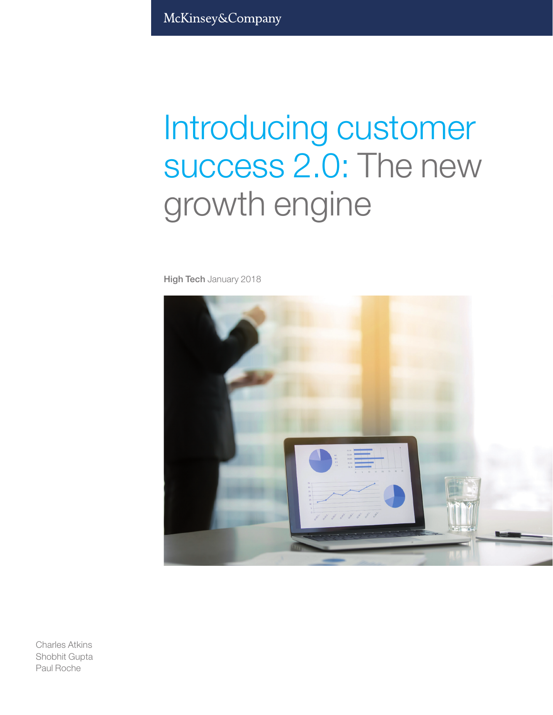McKinsey&Company

# Introducing customer success 2.0: The new growth engine

High Tech January 2018



Charles Atkins Shobhit Gupta Paul Roche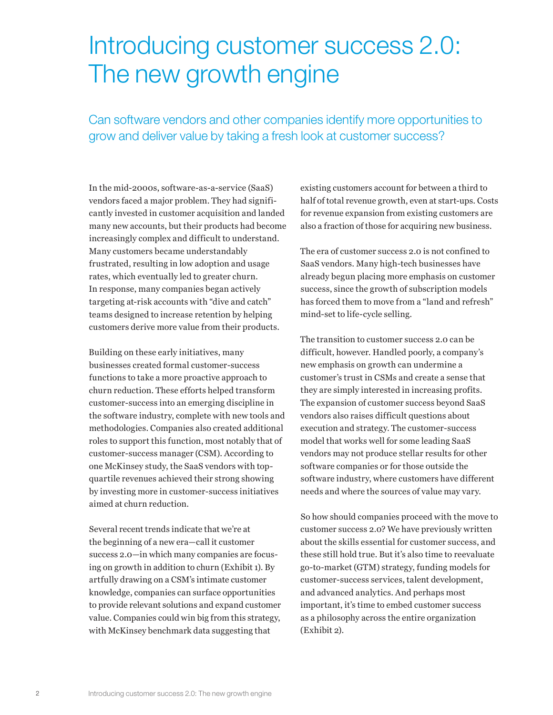## Introducing customer success 2.0: The new growth engine

Can software vendors and other companies identify more opportunities to grow and deliver value by taking a fresh look at customer success?

In the mid-2000s, software-as-a-service (SaaS) vendors faced a major problem. They had significantly invested in customer acquisition and landed many new accounts, but their products had become increasingly complex and difficult to understand. Many customers became understandably frustrated, resulting in low adoption and usage rates, which eventually led to greater churn. In response, many companies began actively targeting at-risk accounts with "dive and catch" teams designed to increase retention by helping customers derive more value from their products.

Building on these early initiatives, many businesses created formal customer-success functions to take a more proactive approach to churn reduction. These efforts helped transform customer-success into an emerging discipline in the software industry, complete with new tools and methodologies. Companies also created additional roles to support this function, most notably that of customer-success manager (CSM). According to one McKinsey study, the SaaS vendors with topquartile revenues achieved their strong showing by investing more in customer-success initiatives aimed at churn reduction.

Several recent trends indicate that we're at the beginning of a new era—call it customer success 2.0—in which many companies are focusing on growth in addition to churn (Exhibit 1). By artfully drawing on a CSM's intimate customer knowledge, companies can surface opportunities to provide relevant solutions and expand customer value. Companies could win big from this strategy, with McKinsey benchmark data suggesting that

existing customers account for between a third to half of total revenue growth, even at start-ups. Costs for revenue expansion from existing customers are also a fraction of those for acquiring new business.

The era of customer success 2.0 is not confined to SaaS vendors. Many high-tech businesses have already begun placing more emphasis on customer success, since the growth of subscription models has forced them to move from a "land and refresh" mind-set to life-cycle selling.

The transition to customer success 2.0 can be difficult, however. Handled poorly, a company's new emphasis on growth can undermine a customer's trust in CSMs and create a sense that they are simply interested in increasing profits. The expansion of customer success beyond SaaS vendors also raises difficult questions about execution and strategy. The customer-success model that works well for some leading SaaS vendors may not produce stellar results for other software companies or for those outside the software industry, where customers have different needs and where the sources of value may vary.

So how should companies proceed with the move to customer success 2.0? We have previously written about the skills essential for customer success, and these still hold true. But it's also time to reevaluate go-to-market (GTM) strategy, funding models for customer-success services, talent development, and advanced analytics. And perhaps most important, it's time to embed customer success as a philosophy across the entire organization (Exhibit 2).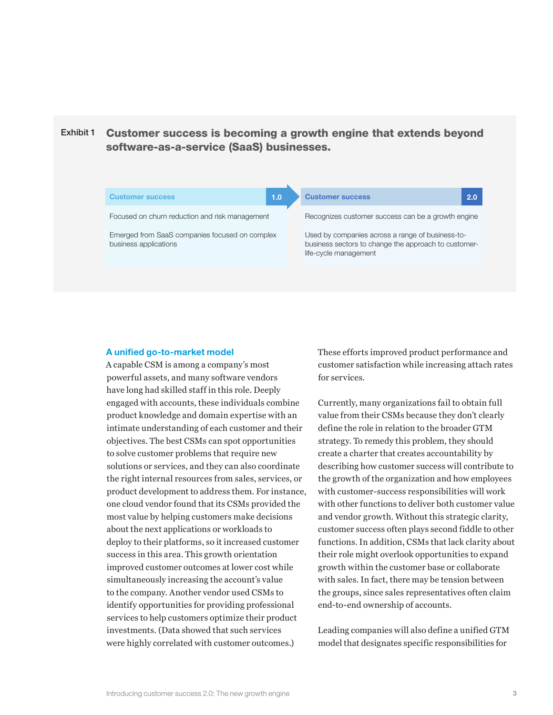#### Exhibit 1 Customer success is becoming a growth engine that extends beyond software-as-a-service (SaaS) businesses.



#### A unified go-to-market model

A capable CSM is among a company's most powerful assets, and many software vendors have long had skilled staff in this role. Deeply engaged with accounts, these individuals combine product knowledge and domain expertise with an intimate understanding of each customer and their objectives. The best CSMs can spot opportunities to solve customer problems that require new solutions or services, and they can also coordinate the right internal resources from sales, services, or product development to address them. For instance, one cloud vendor found that its CSMs provided the most value by helping customers make decisions about the next applications or workloads to deploy to their platforms, so it increased customer success in this area. This growth orientation improved customer outcomes at lower cost while simultaneously increasing the account's value to the company. Another vendor used CSMs to identify opportunities for providing professional services to help customers optimize their product investments. (Data showed that such services were highly correlated with customer outcomes.)

These efforts improved product performance and customer satisfaction while increasing attach rates for services.

Currently, many organizations fail to obtain full value from their CSMs because they don't clearly define the role in relation to the broader GTM strategy. To remedy this problem, they should create a charter that creates accountability by describing how customer success will contribute to the growth of the organization and how employees with customer-success responsibilities will work with other functions to deliver both customer value and vendor growth. Without this strategic clarity, customer success often plays second fiddle to other functions. In addition, CSMs that lack clarity about their role might overlook opportunities to expand growth within the customer base or collaborate with sales. In fact, there may be tension between the groups, since sales representatives often claim end-to-end ownership of accounts.

Leading companies will also define a unified GTM model that designates specific responsibilities for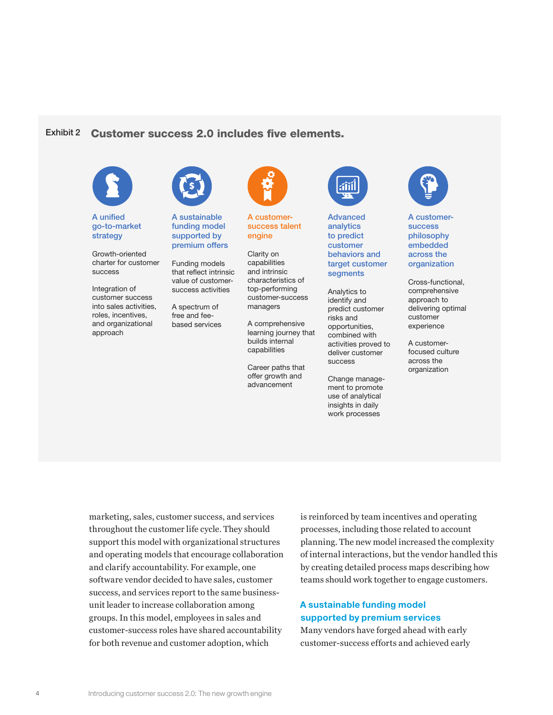#### Exhibit 2 Customer success 2.0 includes five elements.



A unified go-to-market strategy

Growth-oriented charter for customer success

Integration of customer success into sales activities, roles, incentives, and organizational approach



A sustainable funding model supported by premium offers

Funding models that reflect intrinsic value of customersuccess activities

A spectrum of free and feebased services



A customersuccess talent engine

Clarity on capabilities and intrinsic characteristics of top-performing customer-success managers

A comprehensive learning journey that builds internal capabilities

Career paths that offer growth and advancement



Advanced analytics to predict customer behaviors and target customer segments

Analytics to identify and predict customer risks and opportunities, combined with activities proved to deliver customer success

Change management to promote use of analytical insights in daily work processes



A customersuccess philosophy embedded across the organization

Cross-functional, comprehensive approach to delivering optimal customer experience

A customerfocused culture across the organization

marketing, sales, customer success, and services throughout the customer life cycle. They should support this model with organizational structures and operating models that encourage collaboration and clarify accountability. For example, one software vendor decided to have sales, customer success, and services report to the same businessunit leader to increase collaboration among groups. In this model, employees in sales and customer-success roles have shared accountability for both revenue and customer adoption, which

is reinforced by team incentives and operating processes, including those related to account planning. The new model increased the complexity of internal interactions, but the vendor handled this by creating detailed process maps describing how teams should work together to engage customers.

#### A sustainable funding model supported by premium services

Many vendors have forged ahead with early customer-success efforts and achieved early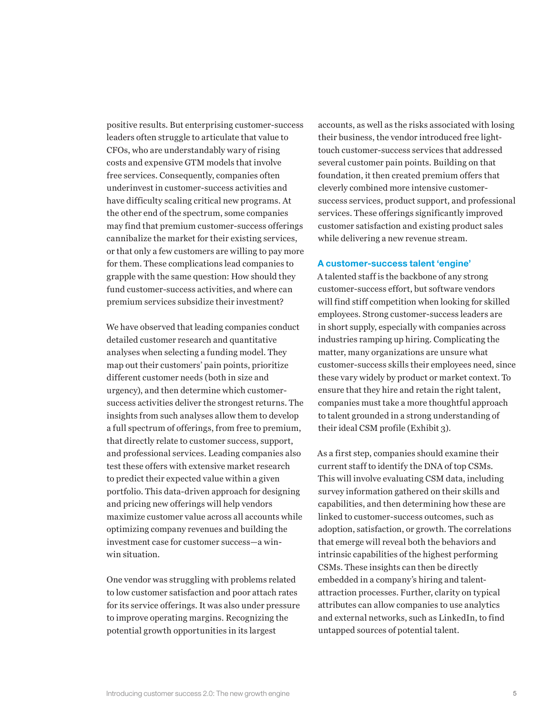positive results. But enterprising customer-success leaders often struggle to articulate that value to CFOs, who are understandably wary of rising costs and expensive GTM models that involve free services. Consequently, companies often underinvest in customer-success activities and have difficulty scaling critical new programs. At the other end of the spectrum, some companies may find that premium customer-success offerings cannibalize the market for their existing services, or that only a few customers are willing to pay more for them. These complications lead companies to grapple with the same question: How should they fund customer-success activities, and where can premium services subsidize their investment?

We have observed that leading companies conduct detailed customer research and quantitative analyses when selecting a funding model. They map out their customers' pain points, prioritize different customer needs (both in size and urgency), and then determine which customersuccess activities deliver the strongest returns. The insights from such analyses allow them to develop a full spectrum of offerings, from free to premium, that directly relate to customer success, support, and professional services. Leading companies also test these offers with extensive market research to predict their expected value within a given portfolio. This data-driven approach for designing and pricing new offerings will help vendors maximize customer value across all accounts while optimizing company revenues and building the investment case for customer success—a winwin situation.

One vendor was struggling with problems related to low customer satisfaction and poor attach rates for its service offerings. It was also under pressure to improve operating margins. Recognizing the potential growth opportunities in its largest

accounts, as well as the risks associated with losing their business, the vendor introduced free lighttouch customer-success services that addressed several customer pain points. Building on that foundation, it then created premium offers that cleverly combined more intensive customersuccess services, product support, and professional services. These offerings significantly improved customer satisfaction and existing product sales while delivering a new revenue stream.

#### A customer-success talent 'engine'

A talented staff is the backbone of any strong customer-success effort, but software vendors will find stiff competition when looking for skilled employees. Strong customer-success leaders are in short supply, especially with companies across industries ramping up hiring. Complicating the matter, many organizations are unsure what customer-success skills their employees need, since these vary widely by product or market context. To ensure that they hire and retain the right talent, companies must take a more thoughtful approach to talent grounded in a strong understanding of their ideal CSM profile (Exhibit 3).

As a first step, companies should examine their current staff to identify the DNA of top CSMs. This will involve evaluating CSM data, including survey information gathered on their skills and capabilities, and then determining how these are linked to customer-success outcomes, such as adoption, satisfaction, or growth. The correlations that emerge will reveal both the behaviors and intrinsic capabilities of the highest performing CSMs. These insights can then be directly embedded in a company's hiring and talentattraction processes. Further, clarity on typical attributes can allow companies to use analytics and external networks, such as LinkedIn, to find untapped sources of potential talent.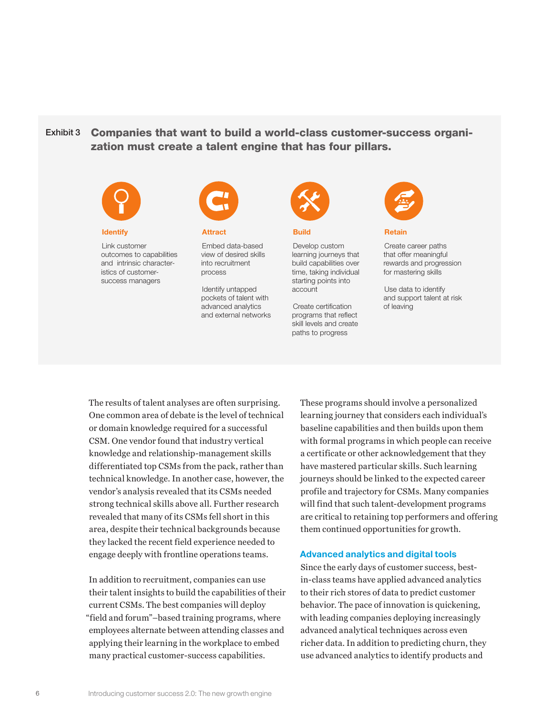#### Exhibit 3 Companies that want to build a world-class customer-success organization must create a talent engine that has four pillars.



#### **Identify**

Link customer outcomes to capabilities and intrinsic characteristics of customersuccess managers



Attract

Embed data-based view of desired skills into recruitment process

Identify untapped pockets of talent with advanced analytics and external networks



Build

Develop custom learning journeys that build capabilities over time, taking individual starting points into account

Create certification programs that reflect skill levels and create paths to progress



Retain

Create career paths that offer meaningful rewards and progression for mastering skills

Use data to identify and support talent at risk of leaving

The results of talent analyses are often surprising. One common area of debate is the level of technical or domain knowledge required for a successful CSM. One vendor found that industry vertical knowledge and relationship-management skills differentiated top CSMs from the pack, rather than technical knowledge. In another case, however, the vendor's analysis revealed that its CSMs needed strong technical skills above all. Further research revealed that many of its CSMs fell short in this area, despite their technical backgrounds because they lacked the recent field experience needed to engage deeply with frontline operations teams.

In addition to recruitment, companies can use their talent insights to build the capabilities of their current CSMs. The best companies will deploy "field and forum"–based training programs, where employees alternate between attending classes and applying their learning in the workplace to embed many practical customer-success capabilities.

These programs should involve a personalized learning journey that considers each individual's baseline capabilities and then builds upon them with formal programs in which people can receive a certificate or other acknowledgement that they have mastered particular skills. Such learning journeys should be linked to the expected career profile and trajectory for CSMs. Many companies will find that such talent-development programs are critical to retaining top performers and offering them continued opportunities for growth.

#### Advanced analytics and digital tools

Since the early days of customer success, bestin-class teams have applied advanced analytics to their rich stores of data to predict customer behavior. The pace of innovation is quickening, with leading companies deploying increasingly advanced analytical techniques across even richer data. In addition to predicting churn, they use advanced analytics to identify products and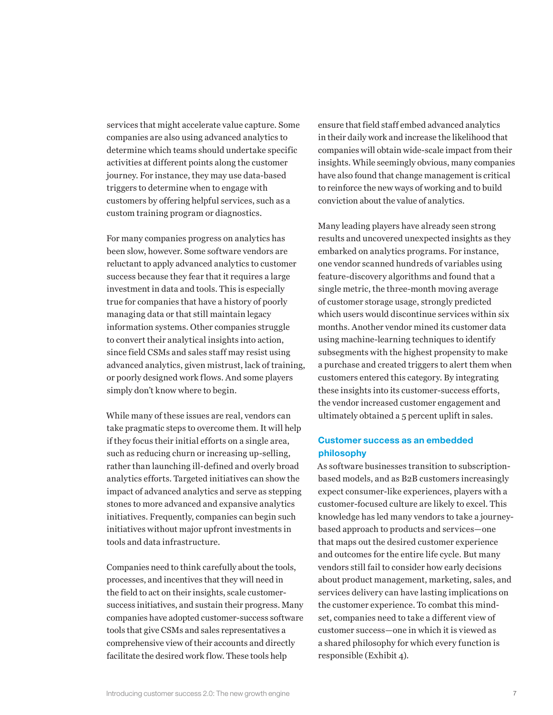services that might accelerate value capture. Some companies are also using advanced analytics to determine which teams should undertake specific activities at different points along the customer journey. For instance, they may use data-based triggers to determine when to engage with customers by offering helpful services, such as a custom training program or diagnostics.

For many companies progress on analytics has been slow, however. Some software vendors are reluctant to apply advanced analytics to customer success because they fear that it requires a large investment in data and tools. This is especially true for companies that have a history of poorly managing data or that still maintain legacy information systems. Other companies struggle to convert their analytical insights into action, since field CSMs and sales staff may resist using advanced analytics, given mistrust, lack of training, or poorly designed work flows. And some players simply don't know where to begin.

While many of these issues are real, vendors can take pragmatic steps to overcome them. It will help if they focus their initial efforts on a single area, such as reducing churn or increasing up-selling, rather than launching ill-defined and overly broad analytics efforts. Targeted initiatives can show the impact of advanced analytics and serve as stepping stones to more advanced and expansive analytics initiatives. Frequently, companies can begin such initiatives without major upfront investments in tools and data infrastructure.

Companies need to think carefully about the tools, processes, and incentives that they will need in the field to act on their insights, scale customersuccess initiatives, and sustain their progress. Many companies have adopted customer-success software tools that give CSMs and sales representatives a comprehensive view of their accounts and directly facilitate the desired work flow. These tools help

ensure that field staff embed advanced analytics in their daily work and increase the likelihood that companies will obtain wide-scale impact from their insights. While seemingly obvious, many companies have also found that change management is critical to reinforce the new ways of working and to build conviction about the value of analytics.

Many leading players have already seen strong results and uncovered unexpected insights as they embarked on analytics programs. For instance, one vendor scanned hundreds of variables using feature-discovery algorithms and found that a single metric, the three-month moving average of customer storage usage, strongly predicted which users would discontinue services within six months. Another vendor mined its customer data using machine-learning techniques to identify subsegments with the highest propensity to make a purchase and created triggers to alert them when customers entered this category. By integrating these insights into its customer-success efforts, the vendor increased customer engagement and ultimately obtained a 5 percent uplift in sales.

#### Customer success as an embedded philosophy

As software businesses transition to subscriptionbased models, and as B2B customers increasingly expect consumer-like experiences, players with a customer-focused culture are likely to excel. This knowledge has led many vendors to take a journeybased approach to products and services—one that maps out the desired customer experience and outcomes for the entire life cycle. But many vendors still fail to consider how early decisions about product management, marketing, sales, and services delivery can have lasting implications on the customer experience. To combat this mindset, companies need to take a different view of customer success—one in which it is viewed as a shared philosophy for which every function is responsible (Exhibit 4).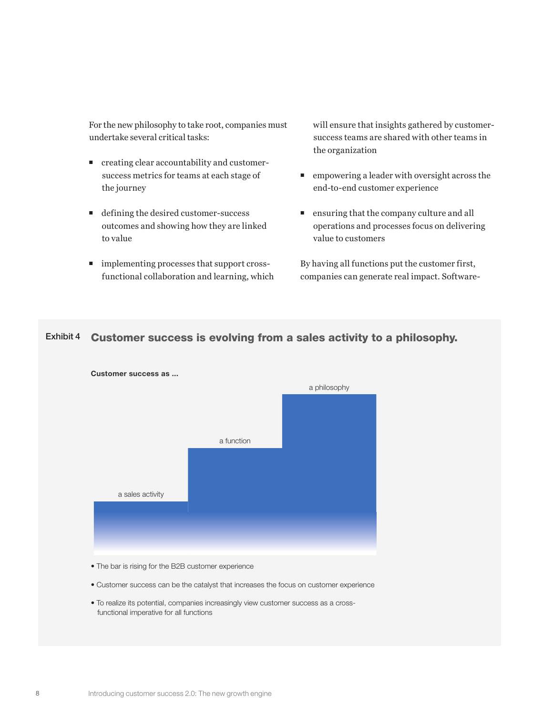For the new philosophy to take root, companies must undertake several critical tasks:

- creating clear accountability and customersuccess metrics for teams at each stage of the journey
- defining the desired customer-success outcomes and showing how they are linked to value
- $\blacksquare$  implementing processes that support crossfunctional collaboration and learning, which

will ensure that insights gathered by customersuccess teams are shared with other teams in the organization

- empowering a leader with oversight across the end-to-end customer experience
- ensuring that the company culture and all operations and processes focus on delivering value to customers

By having all functions put the customer first, companies can generate real impact. Software-

### Exhibit 4 Customer success is evolving from a sales activity to a philosophy.



• The bar is rising for the B2B customer experience

- Customer success can be the catalyst that increases the focus on customer experience
- To realize its potential, companies increasingly view customer success as a cross functional imperative for all functions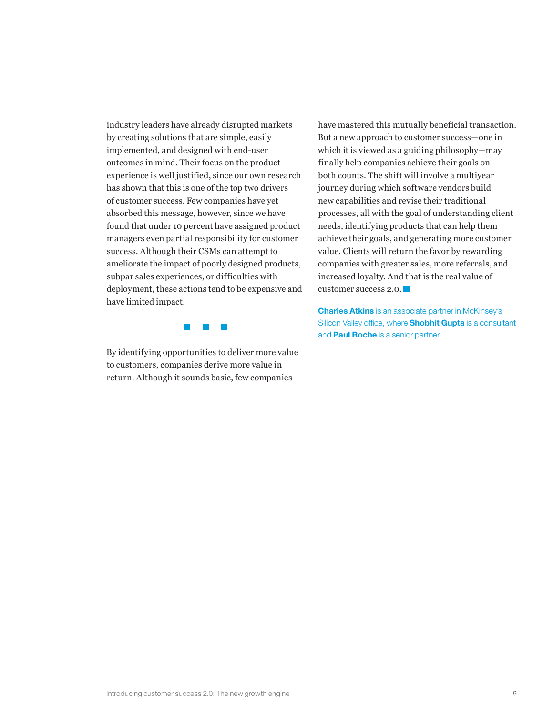industry leaders have already disrupted markets by creating solutions that are simple, easily implemented, and designed with end-user outcomes in mind. Their focus on the product experience is well justified, since our own research has shown that this is one of the top two drivers of customer success. Few companies have yet absorbed this message, however, since we have found that under 10 percent have assigned product managers even partial responsibility for customer success. Although their CSMs can attempt to ameliorate the impact of poorly designed products, subpar sales experiences, or difficulties with deployment, these actions tend to be expensive and have limited impact.

> $\mathbb{R}^3$  $\mathcal{L}^{\mathcal{L}}$  $\mathbb{R}^n$

By identifying opportunities to deliver more value to customers, companies derive more value in return. Although it sounds basic, few companies

have mastered this mutually beneficial transaction. But a new approach to customer success—one in which it is viewed as a guiding philosophy—may finally help companies achieve their goals on both counts. The shift will involve a multiyear journey during which software vendors build new capabilities and revise their traditional processes, all with the goal of understanding client needs, identifying products that can help them achieve their goals, and generating more customer value. Clients will return the favor by rewarding companies with greater sales, more referrals, and increased loyalty. And that is the real value of customer success 2.0.

**Charles Atkins** is an associate partner in McKinsey's Silicon Valley office, where **Shobhit Gupta** is a consultant and **Paul Roche** is a senior partner.